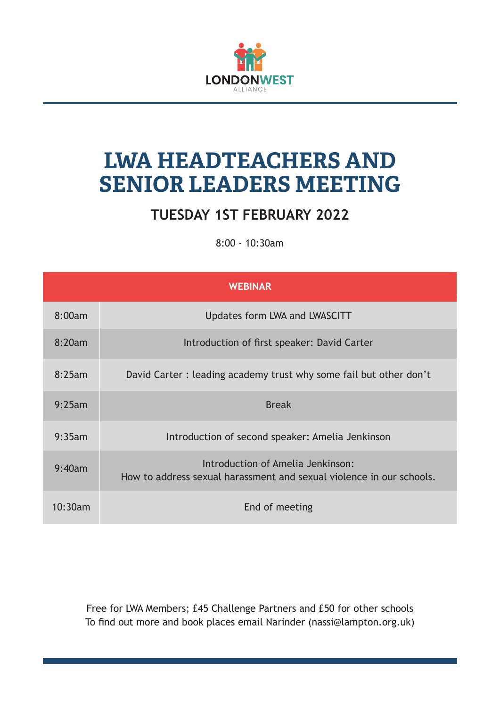

## **LWA HEADTEACHERS AND SENIOR LEADERS MEETING**

## **TUESDAY 1ST FEBRUARY 2022**

8:00 - 10:30am

|         | <b>WEBINAR</b>                                                                                            |
|---------|-----------------------------------------------------------------------------------------------------------|
| 8:00am  | Updates form LWA and LWASCITT                                                                             |
| 8:20am  | Introduction of first speaker: David Carter                                                               |
| 8:25am  | David Carter: leading academy trust why some fail but other don't                                         |
| 9:25am  | <b>Break</b>                                                                                              |
| 9:35am  | Introduction of second speaker: Amelia Jenkinson                                                          |
| 9:40am  | Introduction of Amelia Jenkinson:<br>How to address sexual harassment and sexual violence in our schools. |
| 10:30am | End of meeting                                                                                            |

Free for LWA Members; £45 Challenge Partners and £50 for other schools To find out more and book places email Narinder (nassi@lampton.org.uk)